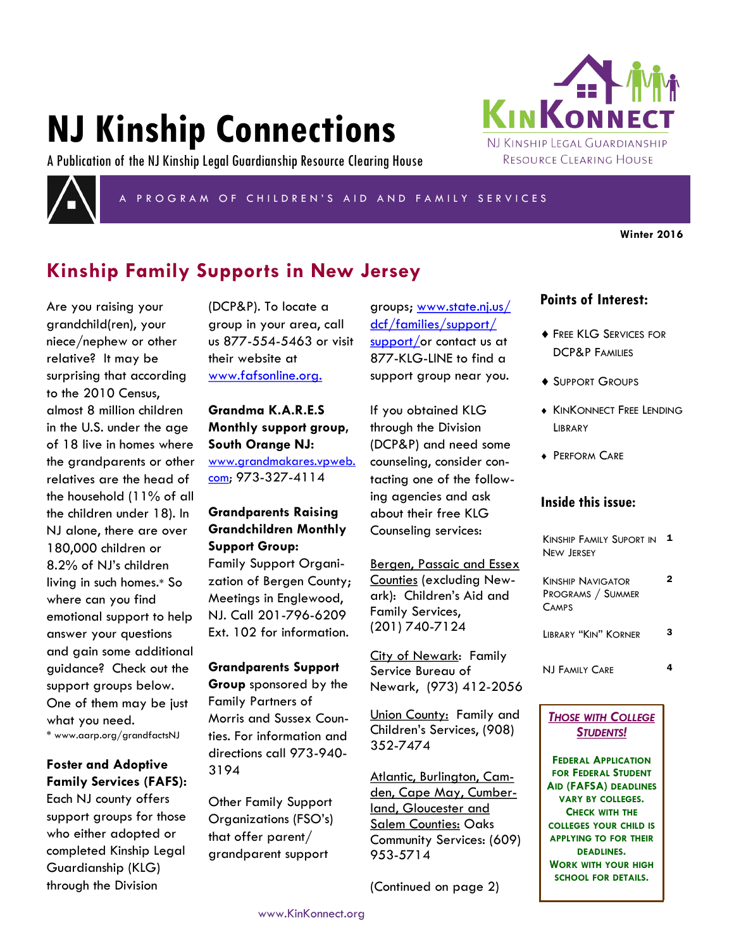# **NJ Kinship Connections**

A Publication of the NJ Kinship Legal Guardianship Resource Clearing House



PROGRAM OF CHILDREN'S AID AND FAMILY SERVICES

**Winter 2016**

# **Kinship Family Supports in New Jersey**

Are you raising your grandchild(ren), your niece/nephew or other relative? It may be surprising that according to the 2010 Census, almost 8 million children in the U.S. under the age of 18 live in homes where the grandparents or other relatives are the head of the household (11% of all the children under 18). In NJ alone, there are over 180,000 children or 8.2% of NJ's children living in such homes.\* So where can you find emotional support to help answer your questions and gain some additional guidance? Check out the support groups below. One of them may be just what you need. \* www.aarp.org/grandfactsNJ

## **Foster and Adoptive Family Services (FAFS):**

Each NJ county offers support groups for those who either adopted or completed Kinship Legal Guardianship (KLG) through the Division

(DCP&P). To locate a group in your area, call us 877-554-5463 or visit their website at www.fafsonline.org.

**Grandma K.A.R.E.S Monthly support group, South Orange NJ:**  [www.grandmakares.vpweb.](http://www.grandmakares.vpweb.com) [com;](http://www.grandmakares.vpweb.com) 973-327-4114

## **Grandparents Raising Grandchildren Monthly Support Group:**

Family Support Organization of Bergen County; Meetings in Englewood, NJ. Call 201-796-6209 Ext. 102 for information.

**Grandparents Support Group** sponsored by the Family Partners of Morris and Sussex Counties. For information and directions call 973-940- 3194

Other Family Support Organizations (FSO's) that offer parent/ grandparent support

groups; www.state.nj.us/ dcf/families/support/ support/or contact us at 877-KLG-LINE to find a support group near you.

If you obtained KLG through the Division (DCP&P) and need some counseling, consider contacting one of the following agencies and ask about their free KLG Counseling services:

Bergen, Passaic and Essex Counties (excluding Newark): Children's Aid and Family Services, (201) 740-7124

City of Newark: Family Service Bureau of Newark, (973) 412-2056

Union County: Family and Children's Services, (908) 352-7474

Atlantic, Burlington, Camden, Cape May, Cumberland, Gloucester and Salem Counties: Oaks Community Services: (609) 953-5714

(Continued on page 2)

## **Points of Interest:**

KINKONN

NJ KINSHIP LEGAL GUARDIANSHIP RESOURCE CLEARING HOUSE

- **FREE KLG SERVICES FOR** DCP&P FAMILIES
- ◆ SUPPORT GROUPS
- **KINKONNECT FREE LENDING LIBRARY**
- **+ PERFORM CARE**

### **Inside this issue:**

| Kinship Family Suport in |  |
|--------------------------|--|
| New Jersey               |  |

| <b>KINSHIP NAVIGATOR</b><br><b>PROGRAMS / SUMMER</b><br><b>CAMPS</b> | 2 |
|----------------------------------------------------------------------|---|
| LIBRARY "KIN" KORNER                                                 | з |
|                                                                      |   |

NJ FAMILY CARE 4

## *THOSE WITH COLLEGE STUDENTS!*

**FEDERAL APPLICATION FOR FEDERAL STUDENT AID (FAFSA) DEADLINES VARY BY COLLEGES. CHECK WITH THE COLLEGES YOUR CHILD IS APPLYING TO FOR THEIR DEADLINES. WORK WITH YOUR HIGH SCHOOL FOR DETAILS.**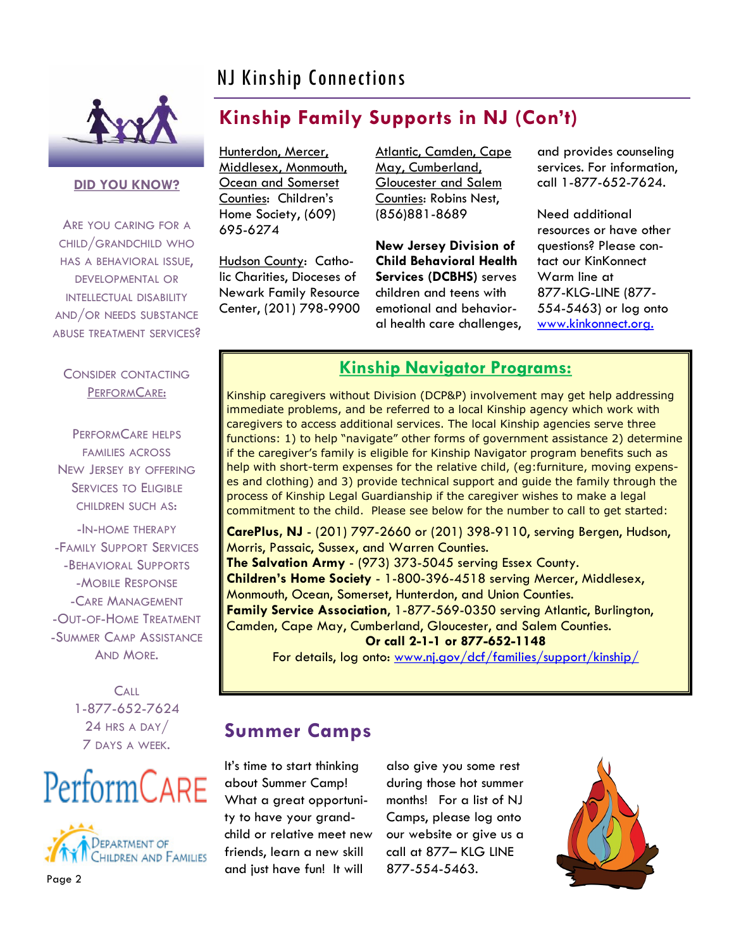# NJ Kinship Connections



**DID YOU KNOW?**

ARE YOU CARING FOR A CHILD/GRANDCHILD WHO HAS A BEHAVIORAL ISSUE, DEVELOPMENTAL OR INTELLECTUAL DISABILITY AND/OR NEEDS SUBSTANCE ABUSE TREATMENT SERVICES?

## CONSIDER CONTACTING PERFORMCARE:

PERFORMCARE HELPS FAMILIES ACROSS NEW JERSEY BY OFFERING SERVICES TO ELIGIBLE CHILDREN SUCH AS:

-IN-HOME THERAPY -FAMILY SUPPORT SERVICES -BEHAVIORAL SUPPORTS -MOBILE RESPONSE -CARE MANAGEMENT -OUT-OF-HOME TREATMENT -SUMMER CAMP ASSISTANCE AND MORE.

> **CALL** 1-877-652-7624 24 HRS A DAY/ 7 DAYS A WEEK.

# PerformCARE



**Kinship Family Supports in NJ (Con't)** 

Hunterdon, Mercer, Middlesex, Monmouth, Ocean and Somerset Counties: Children's Home Society, (609) 695-6274

Hudson County: Catholic Charities, Dioceses of Newark Family Resource Center, (201) 798-9900 Atlantic, Camden, Cape May, Cumberland, Gloucester and Salem Counties: Robins Nest, (856)881-8689

**New Jersey Division of Child Behavioral Health Services (DCBHS)** serves children and teens with emotional and behavioral health care challenges,

and provides counseling services. For information, call 1-877-652-7624.

Need additional resources or have other questions? Please contact our KinKonnect Warm line at 877-KLG-LINE (877- 554-5463) or log onto www.kinkonnect.org.

# **Kinship Navigator Programs:**

Kinship caregivers without Division (DCP&P) involvement may get help addressing immediate problems, and be referred to a local Kinship agency which work with caregivers to access additional services. The local Kinship agencies serve three functions: 1) to help "navigate" other forms of government assistance 2) determine if the caregiver's family is eligible for Kinship Navigator program benefits such as help with short-term expenses for the relative child, (eg:furniture, moving expenses and clothing) and 3) provide technical support and guide the family through the process of Kinship Legal Guardianship if the caregiver wishes to make a legal commitment to the child. Please see below for the number to call to get started:

**CarePlus, NJ** - (201) 797-2660 or (201) 398-9110, serving Bergen, Hudson, Morris, Passaic, Sussex, and Warren Counties. **The Salvation Army** - (973) 373-5045 serving Essex County. **Children's Home Society** - 1-800-396-4518 serving Mercer, Middlesex, Monmouth, Ocean, Somerset, Hunterdon, and Union Counties. **Family Service Association**, 1-877-569-0350 serving Atlantic, Burlington, Camden, Cape May, Cumberland, Gloucester, and Salem Counties.

## **Or call 2-1-1 or 877-652-1148**

For details, log onto: www.nj.gov/dcf/families/support/kinship/

# **Summer Camps**

It's time to start thinking about Summer Camp! What a great opportunity to have your grandchild or relative meet new friends, learn a new skill and just have fun! It will

also give you some rest during those hot summer months! For a list of NJ Camps, please log onto our website or give us a call at 877– KLG LINE 877-554-5463.

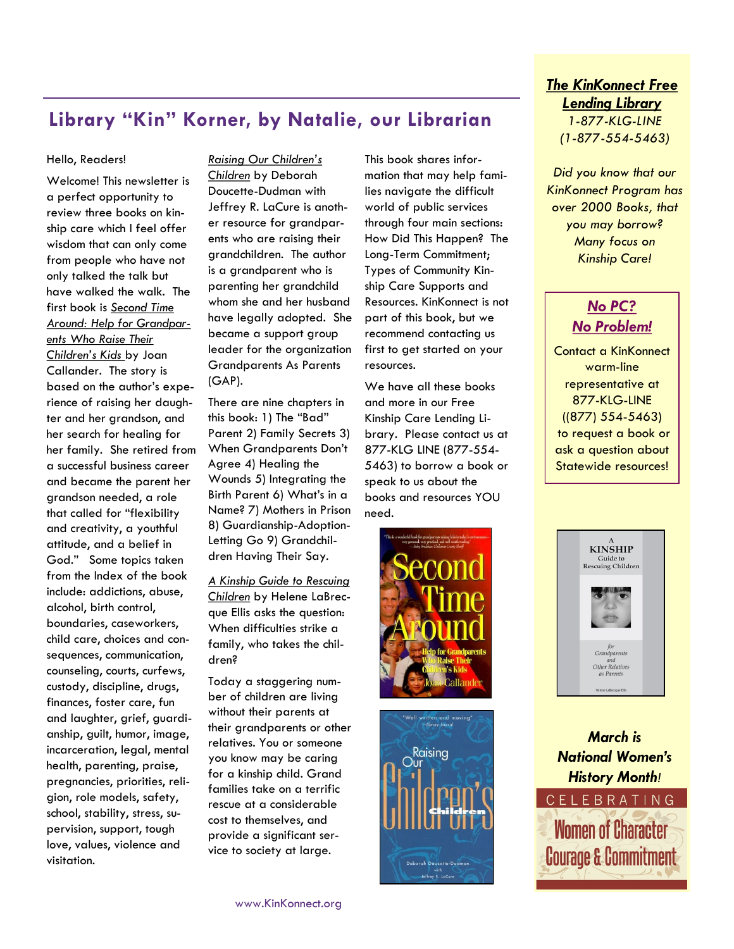# **Library "Kin" Korner, by Natalie, our Librarian**

#### Hello, Readers!

Welcome! This newsletter is a perfect opportunity to review three books on kinship care which I feel offer wisdom that can only come from people who have not only talked the talk but have walked the walk. The first book is *Second Time Around: Help for Grandparents Who Raise Their Children's Kids* by Joan Callander. The story is based on the author's experience of raising her daughter and her grandson, and her search for healing for her family. She retired from a successful business career and became the parent her grandson needed, a role that called for "flexibility and creativity, a youthful attitude, and a belief in God." Some topics taken from the Index of the book include: addictions, abuse, alcohol, birth control, boundaries, caseworkers, child care, choices and consequences, communication, counseling, courts, curfews, custody, discipline, drugs, finances, foster care, fun and laughter, grief, guardianship, guilt, humor, image, incarceration, legal, mental health, parenting, praise, pregnancies, priorities, religion, role models, safety, school, stability, stress, supervision, support, tough love, values, violence and visitation.

*Raising Our Children's Children* by Deborah Doucette-Dudman with Jeffrey R. LaCure is another resource for grandparents who are raising their grandchildren. The author is a grandparent who is parenting her grandchild whom she and her husband have legally adopted. She became a support group leader for the organization Grandparents As Parents (GAP).

There are nine chapters in this book: 1) The "Bad" Parent 2) Family Secrets 3) When Grandparents Don't Agree 4) Healing the Wounds 5) Integrating the Birth Parent 6) What's in a Name? 7) Mothers in Prison 8) Guardianship-Adoption-Letting Go 9) Grandchildren Having Their Say.

*A Kinship Guide to Rescuing Children* by Helene LaBrecque Ellis asks the question: When difficulties strike a family, who takes the children?

Today a staggering number of children are living without their parents at their grandparents or other relatives. You or someone you know may be caring for a kinship child. Grand families take on a terrific rescue at a considerable cost to themselves, and provide a significant service to society at large.

This book shares information that may help families navigate the difficult world of public services through four main sections: How Did This Happen? The Long-Term Commitment; Types of Community Kinship Care Supports and Resources. KinKonnect is not part of this book, but we recommend contacting us first to get started on your resources.

We have all these books and more in our Free Kinship Care Lending Library. Please contact us at 877-KLG LINE (877-554- 5463) to borrow a book or speak to us about the books and resources YOU need.





## *The KinKonnect Free Lending Library 1-877-KLG-LINE (1-877-554-5463)*

*Did you know that our KinKonnect Program has over 2000 Books, that you may borrow? Many focus on Kinship Care!*

# *No PC? No Problem!*

Contact a KinKonnect warm-line representative at 877-KLG-LINE ((877) 554-5463) to request a book or ask a question about Statewide resources!



*March is National Women's History Month!*  CELEBRATING **Women of Character**  $\bullet$